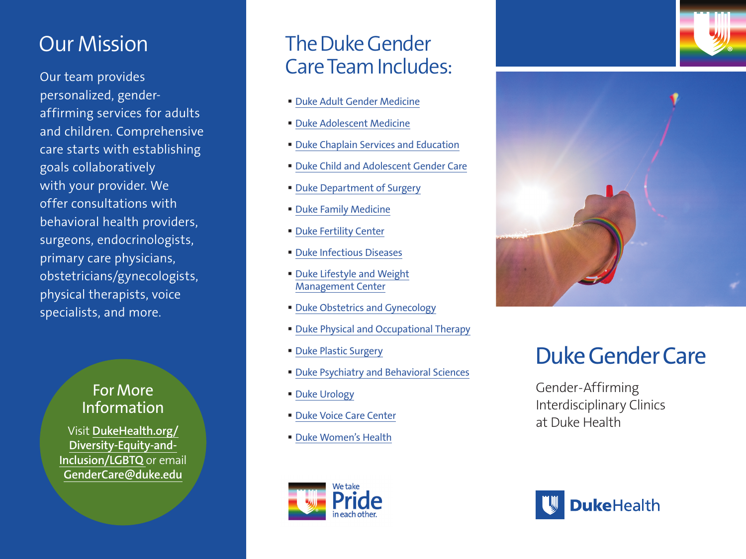## Our Mission

Our team provides personalized, genderaffirming services for adults and children. Comprehensive care starts with establishing goals collaboratively with your provider. We offer consultations with behavioral health providers, surgeons, endocrinologists, primary care physicians, obstetricians/gynecologists, physical therapists, voice specialists, and more.

### For More Information

Visit **[DukeHealth.org/](https://www.dukehealth.org/diversity-equity-and-inclusion/lgbtq) [Diversity-Equity-and-](https://www.dukehealth.org/diversity-equity-and-inclusion/lgbtq)[Inclusion/LGBTQ](https://www.dukehealth.org/diversity-equity-and-inclusion/lgbtq)** or email **[GenderCare@duke.edu](mailto:GenderCare%40duke.edu?subject=)**

## The Duke Gender Care Team Includes:

- **D[uke Adult Gender Medicine](https://www.dukehealth.org/treatments/adult-gender-medicine)**
- **D[uke Adolescent Medicine](https://pediatrics.duke.edu/divisions/primary-care-pediatrics/patient-care/adolescent-and-young-adult-medicine)**
- **D[uke Chaplain Services and Education](https://www.dukehealth.org/support-services/pastoral-services)**
- **D[uke Child and Adolescent Gender Care](https://www.dukehealth.org/pediatric-treatments/adolescent-transgender-program)**
- [Duke Department of Surgery](https://surgery.duke.edu/)
- **[Duke Family Medicine](https://fmch.duke.edu/patient-care-community-health/lgbtq-patient-centered-medical-home)**
- **[Duke Fertility Center](https://www.dukehealth.org/locations/duke-fertility-center)**
- [Duke Infectious Diseases](https://medicine.duke.edu/divisions/infectious-diseases)
- Duke Lifestyle and Weight [Management Center](https://www.dukehealth.org/treatments/weight-loss-options/lifestyle-and-weight-management)
- **D[uke Obstetrics and Gynecology](https://www.dukehealth.org/treatments/obstetrics-and-gynecology)**
- [Duke Physical and Occupational Therapy](https://www.dukehealth.org/treatments/physical-and-occupational-therapy)
- [Duke Plastic Surgery](https://www.dukehealth.org/treatments/plastic-and-reconstructive-surgery)
- [Duke Psychiatry and Behavioral Sciences](https://www.dukehealth.org/treatments/psychiatry)
- [Duke Urology](https://www.dukehealth.org/treatments/urology)
- **[Duke Voice Care Center](https://www.dukehealth.org/treatments/voice-disorders)**
- [Duke Women's Health](https://www.dukehealth.org/diversity-equity-and-inclusion/lgbtq)





# Duke Gender Care

Gender -Affirming Interdisciplinary Clinics at Duke Health